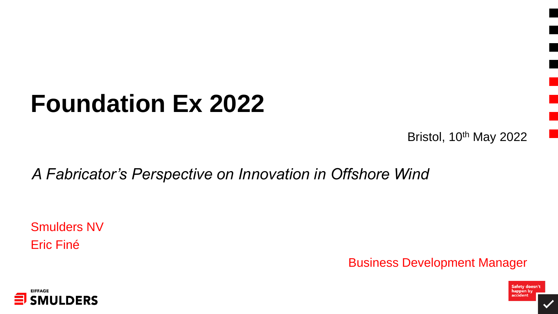# **Foundation Ex 2022**

Bristol, 10<sup>th</sup> May 2022

Safety doesn't<br>happen by<br>accident

*A Fabricator's Perspective on Innovation in Offshore Wind*

Smulders NV Eric Finé

Business Development Manager

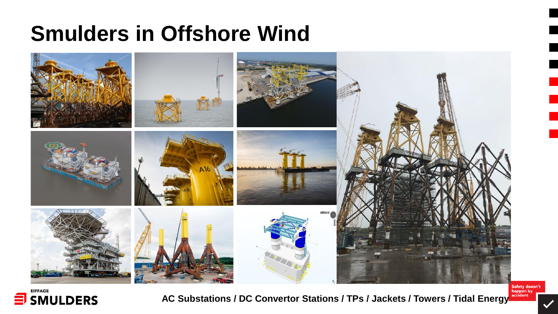#### **Smulders in Offshore Wind**





**AC Substations / DC Convertor Stations / TPs / Jackets / Towers / Tidal Energy**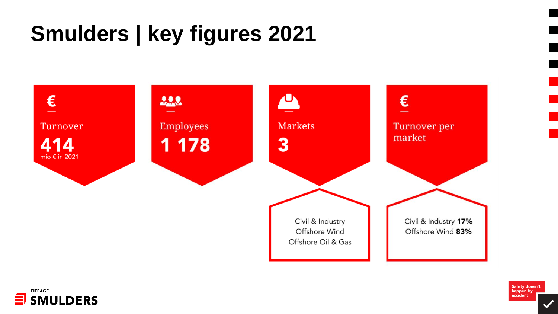## **Smulders | key figures 2021**





Safety doesn't<br>happen by<br>accident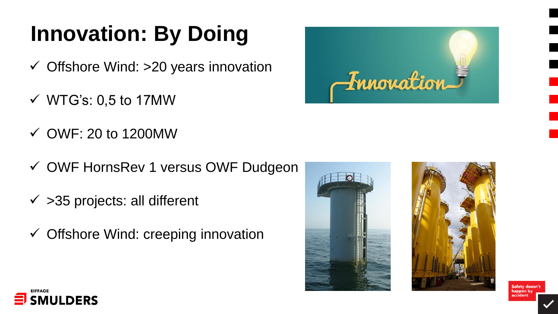## **Innovation: By Doing**

- $\checkmark$  Offshore Wind: >20 years innovation
- $\checkmark$  WTG's: 0,5 to 17MW
- $\checkmark$  OWF: 20 to 1200MW
- ✓ OWF HornsRev 1 versus OWF Dudgeon
- $\checkmark$  >35 projects: all different
- $\checkmark$  Offshore Wind: creeping innovation





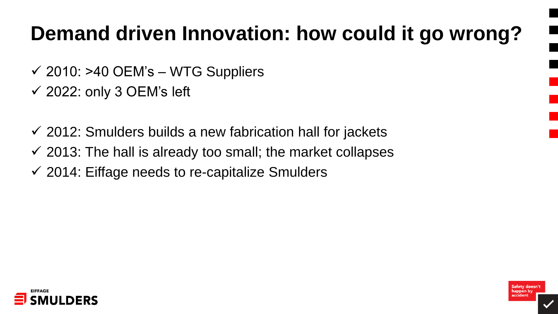## **Demand driven Innovation: how could it go wrong?**

- $\checkmark$  2010: >40 OEM's WTG Suppliers
- $\checkmark$  2022: only 3 OEM's left
- $\checkmark$  2012: Smulders builds a new fabrication hall for jackets
- $\checkmark$  2013: The hall is already too small; the market collapses
- $\checkmark$  2014: Eiffage needs to re-capitalize Smulders

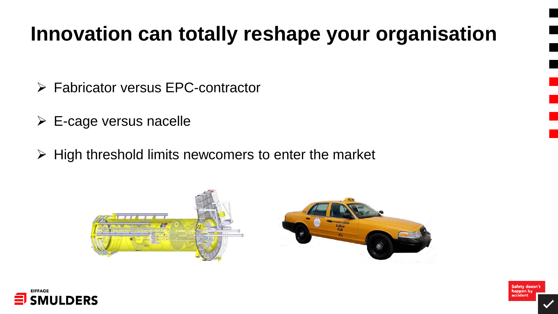#### **Innovation can totally reshape your organisation**

- ➢ Fabricator versus EPC-contractor
- $\triangleright$  E-cage versus nacelle
- $\triangleright$  High threshold limits new comers to enter the market





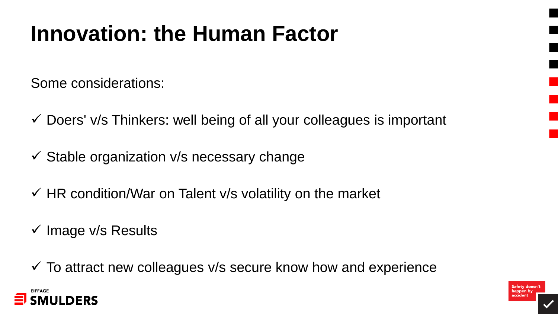## **Innovation: the Human Factor**

Some considerations:

- $\checkmark$  Doers' v/s Thinkers: well being of all your colleagues is important
- $\checkmark$  Stable organization v/s necessary change
- $\checkmark$  HR condition/War on Talent v/s volatility on the market
- $\checkmark$  Image v/s Results

 $\checkmark$  To attract new colleagues v/s secure know how and experience